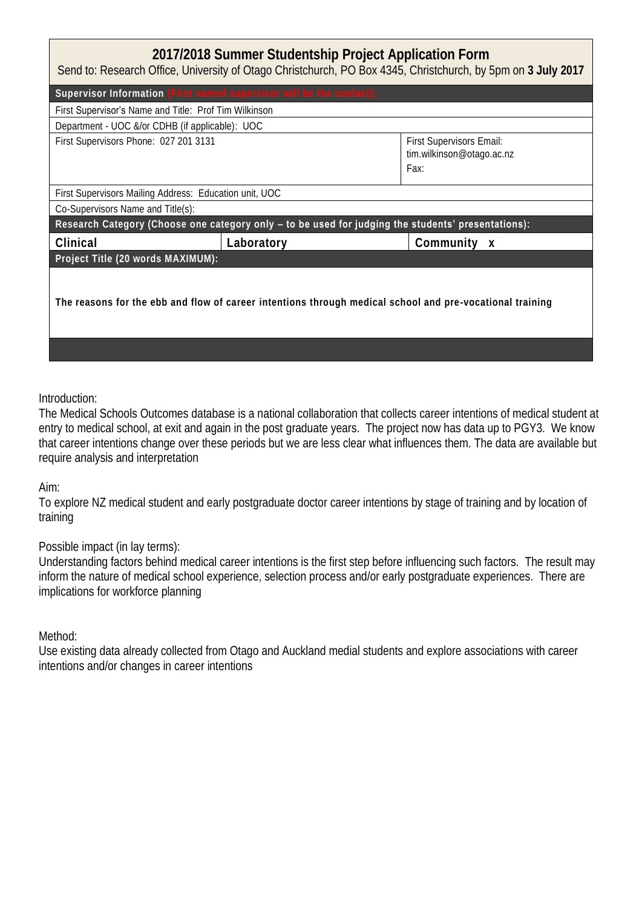## **2017/2018 Summer Studentship Project Application Form**

Send to: Research Office, University of Otago Christchurch, PO Box 4345, Christchurch, by 5pm on **3 July 2017**

| Supervisor Information (First named supervisor will be the contact)                                      |            |                                                               |  |  |
|----------------------------------------------------------------------------------------------------------|------------|---------------------------------------------------------------|--|--|
| First Supervisor's Name and Title: Prof Tim Wilkinson                                                    |            |                                                               |  |  |
| Department - UOC &/or CDHB (if applicable): UOC                                                          |            |                                                               |  |  |
| First Supervisors Phone: 027 201 3131                                                                    |            | First Supervisors Email:<br>tim.wilkinson@otago.ac.nz<br>Fax: |  |  |
| First Supervisors Mailing Address: Education unit, UOC                                                   |            |                                                               |  |  |
| Co-Supervisors Name and Title(s):                                                                        |            |                                                               |  |  |
| Research Category (Choose one category only - to be used for judging the students' presentations):       |            |                                                               |  |  |
| Clinical                                                                                                 | Laboratory | Community x                                                   |  |  |
| Project Title (20 words MAXIMUM):                                                                        |            |                                                               |  |  |
| The reasons for the ebb and flow of career intentions through medical school and pre-vocational training |            |                                                               |  |  |
|                                                                                                          |            |                                                               |  |  |

## Introduction:

The Medical Schools Outcomes database is a national collaboration that collects career intentions of medical student at entry to medical school, at exit and again in the post graduate years. The project now has data up to PGY3. We know that career intentions change over these periods but we are less clear what influences them. The data are available but require analysis and interpretation

Aim:

To explore NZ medical student and early postgraduate doctor career intentions by stage of training and by location of training

Possible impact (in lay terms):

Understanding factors behind medical career intentions is the first step before influencing such factors. The result may inform the nature of medical school experience, selection process and/or early postgraduate experiences. There are implications for workforce planning

Method:

Use existing data already collected from Otago and Auckland medial students and explore associations with career intentions and/or changes in career intentions